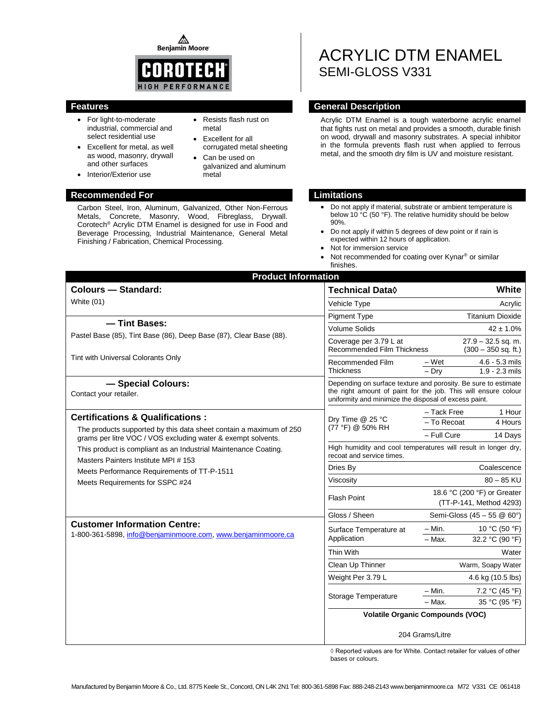⚠ **Benjamin Moore** 



- For light-to-moderate industrial, commercial and select residential use
- Excellent for metal, as well as wood, masonry, drywall and other surfaces
- Resists flash rust on metal
- Excellent for all corrugated metal sheeting Can be used on
- galvanized and aluminum metal

### **Recommended For Limitations**

• Interior/Exterior use

Carbon Steel, Iron, Aluminum, Galvanized, Other Non-Ferrous Metals, Concrete, Masonry, Wood, Fibreglass, Drywall. Corotech<sup>®</sup> Acrylic DTM Enamel is designed for use in Food and Beverage Processing, Industrial Maintenance, General Metal Finishing / Fabrication, Chemical Processing.

# ACRYLIC DTM ENAMEL SEMI-GLOSS V331

## **Features General Description**

Acrylic DTM Enamel is a tough waterborne acrylic enamel that fights rust on metal and provides a smooth, durable finish on wood, drywall and masonry substrates. A special inhibitor in the formula prevents flash rust when applied to ferrous metal, and the smooth dry film is UV and moisture resistant.

- Do not apply if material, substrate or ambient temperature is below 10 °C (50 °F). The relative humidity should be below 90%.
- Do not apply if within 5 degrees of dew point or if rain is expected within 12 hours of application.
- Not for immersion service
- Not recommended for coating over Kynar<sup>®</sup> or similar finishes.

| <b>Product Information</b>                                                                             |                                                                                                                                                                                           |                                                          |  |
|--------------------------------------------------------------------------------------------------------|-------------------------------------------------------------------------------------------------------------------------------------------------------------------------------------------|----------------------------------------------------------|--|
| <b>Colours - Standard:</b>                                                                             | <b>Technical Data</b> ♦                                                                                                                                                                   | White                                                    |  |
| White (01)                                                                                             | Vehicle Type                                                                                                                                                                              | Acrylic                                                  |  |
|                                                                                                        | <b>Pigment Type</b>                                                                                                                                                                       | <b>Titanium Dioxide</b>                                  |  |
| - Tint Bases:                                                                                          | <b>Volume Solids</b>                                                                                                                                                                      | $42 \pm 1.0\%$                                           |  |
| Pastel Base (85), Tint Base (86), Deep Base (87), Clear Base (88).                                     | Coverage per 3.79 L at<br>Recommended Film Thickness                                                                                                                                      | $27.9 - 32.5$ sq. m.<br>$(300 - 350$ sq. ft.)            |  |
| Tint with Universal Colorants Only                                                                     | Recommended Film<br><b>Thickness</b>                                                                                                                                                      | – Wet<br>$4.6 - 5.3$ mils<br>$-$ Dry<br>$1.9 - 2.3$ mils |  |
| - Special Colours:<br>Contact your retailer.                                                           | Depending on surface texture and porosity. Be sure to estimate<br>the right amount of paint for the job. This will ensure colour<br>uniformity and minimize the disposal of excess paint. |                                                          |  |
| <b>Certifications &amp; Qualifications:</b>                                                            | Dry Time @ 25 °C                                                                                                                                                                          | - Tack Free<br>1 Hour                                    |  |
| The products supported by this data sheet contain a maximum of 250                                     | (77 °F) @ 50% RH                                                                                                                                                                          | - To Recoat<br>4 Hours                                   |  |
| grams per litre VOC / VOS excluding water & exempt solvents.                                           |                                                                                                                                                                                           | - Full Cure<br>14 Days                                   |  |
| This product is compliant as an Industrial Maintenance Coating.<br>Masters Painters Institute MPI #153 | High humidity and cool temperatures will result in longer dry,<br>recoat and service times.                                                                                               |                                                          |  |
| Meets Performance Requirements of TT-P-1511                                                            | Dries By                                                                                                                                                                                  | Coalescence                                              |  |
| Meets Requirements for SSPC #24                                                                        | Viscosity                                                                                                                                                                                 | $80 - 85$ KU                                             |  |
|                                                                                                        | <b>Flash Point</b>                                                                                                                                                                        | 18.6 °C (200 °F) or Greater<br>(TT-P-141, Method 4293)   |  |
|                                                                                                        | Gloss / Sheen                                                                                                                                                                             | Semi-Gloss (45 - 55 @ 60°)                               |  |
| <b>Customer Information Centre:</b><br>1-800-361-5898, info@benjaminmoore.com, www.benjaminmoore.ca    | Surface Temperature at<br>Application                                                                                                                                                     | – Min.<br>10 °C (50 °F)<br>32.2 °C (90 °F)<br>- Max.     |  |
|                                                                                                        | Thin With                                                                                                                                                                                 | Water                                                    |  |
|                                                                                                        | Clean Up Thinner                                                                                                                                                                          | Warm, Soapy Water                                        |  |
|                                                                                                        | Weight Per 3.79 L                                                                                                                                                                         | 4.6 kg (10.5 lbs)                                        |  |
|                                                                                                        | Storage Temperature                                                                                                                                                                       | – Min.<br>7.2 °C (45 °F)                                 |  |
|                                                                                                        |                                                                                                                                                                                           | - Max.<br>35 °C (95 °F)                                  |  |
|                                                                                                        | <b>Volatile Organic Compounds (VOC)</b>                                                                                                                                                   |                                                          |  |
|                                                                                                        | 204 Grams/Litre                                                                                                                                                                           |                                                          |  |

◊ Reported values are for White. Contact retailer for values of other bases or colours.